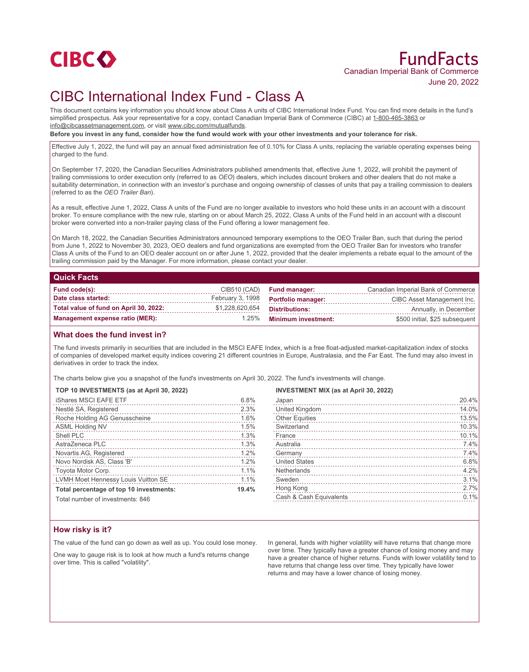

# FundFacts Canadian Imperial Bank of Commerce June 20, 2022

# CIBC International Index Fund - Class A

This document contains key information you should know about Class A units of CIBC International Index Fund. You can find more details in the fund's simplified prospectus. Ask your representative for a copy, contact Canadian Imperial Bank of Commerce (CIBC) at 1-800-465-3863 or info@cibcassetmanagement.com, or visit www.cibc.com/mutualfunds.

**Before you invest in any fund, consider how the fund would work with your other investments and your tolerance for risk.**

Effective July 1, 2022, the fund will pay an annual fixed administration fee of 0.10% for Class A units, replacing the variable operating expenses being charged to the fund.

On September 17, 2020, the Canadian Securities Administrators published amendments that, effective June 1, 2022, will prohibit the payment of trailing commissions to order execution only (referred to as *OEO*) dealers, which includes discount brokers and other dealers that do not make a suitability determination, in connection with an investor's purchase and ongoing ownership of classes of units that pay a trailing commission to dealers (referred to as the *OEO Trailer Ban*).

As a result, effective June 1, 2022, Class A units of the Fund are no longer available to investors who hold these units in an account with a discount broker. To ensure compliance with the new rule, starting on or about March 25, 2022, Class A units of the Fund held in an account with a discount broker were converted into a non-trailer paying class of the Fund offering a lower management fee.

On March 18, 2022, the Canadian Securities Administrators announced temporary exemptions to the OEO Trailer Ban, such that during the period from June 1, 2022 to November 30, 2023, OEO dealers and fund organizations are exempted from the OEO Trailer Ban for investors who transfer Class A units of the Fund to an OEO dealer account on or after June 1, 2022, provided that the dealer implements a rebate equal to the amount of the trailing commission paid by the Manager. For more information, please contact your dealer.

#### **Quick Facts**

| Fund code(s):                          |                 | CIB510 (CAD) Fund manager:          | Canadian Imperial Bank of Commerce |
|----------------------------------------|-----------------|-------------------------------------|------------------------------------|
| Date class started:                    |                 | February 3, 1998 Portfolio manager: | CIBC Asset Management Inc.         |
| Total value of fund on April 30, 2022: | \$1,228,620,654 | Distributions:                      | Annually, in December              |
| Management expense ratio (MER):        |                 | 1.25% Minimum investment:           | \$500 initial, \$25 subsequent     |

### **What does the fund invest in?**

The fund invests primarily in securities that are included in the MSCI EAFE Index, which is a free float-adjusted market-capitalization index of stocks of companies of developed market equity indices covering 21 different countries in Europe, Australasia, and the Far East. The fund may also invest in derivatives in order to track the index.

The charts below give you a snapshot of the fund's investments on April 30, 2022. The fund's investments will change.

#### **TOP 10 INVESTMENTS (as at April 30, 2022)**

| <b>iShares MSCI EAFE ETF</b>            | 6.8%  |
|-----------------------------------------|-------|
| Nestlé SA, Registered                   | 2.3%  |
| Roche Holding AG Genusscheine           | 1.6%  |
| <b>ASML Holding NV</b>                  | 1.5%  |
| Shell PLC                               | 1.3%  |
| AstraZeneca PLC                         | 1.3%  |
| Novartis AG, Registered                 | 1.2%  |
| Novo Nordisk AS, Class 'B'              | 1.2%  |
| Toyota Motor Corp.                      | 1.1%  |
| LVMH Moet Hennessy Louis Vuitton SE     | 1.1%  |
| Total percentage of top 10 investments: | 19.4% |

#### **INVESTMENT MIX (as at April 30, 2022)**

| Japan                   | 20.4% |
|-------------------------|-------|
| United Kingdom          | 14.0% |
| <b>Other Equities</b>   | 13.5% |
| Switzerland             | 10.3% |
| France                  | 10.1% |
| Australia               | 7.4%  |
| Germany                 | 7.4%  |
| <b>United States</b>    | 6.8%  |
| Netherlands             | 4.2%  |
| Sweden                  | 3.1%  |
| Hong Kong               | 2.7%  |
| Cash & Cash Equivalents | 0.1%  |
|                         |       |

Total number of investments: 846

### **How risky is it?**

The value of the fund can go down as well as up. You could lose money.

One way to gauge risk is to look at how much a fund's returns change over time. This is called "volatility".

In general, funds with higher volatility will have returns that change more over time. They typically have a greater chance of losing money and may have a greater chance of higher returns. Funds with lower volatility tend to have returns that change less over time. They typically have lower returns and may have a lower chance of losing money.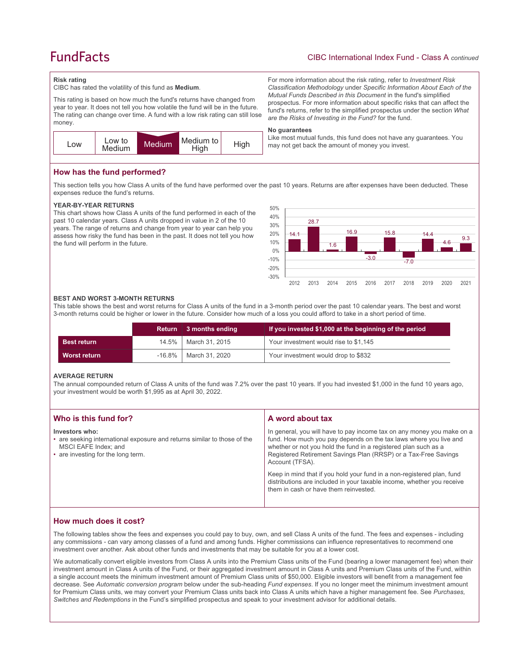# **FundFacts**

For more information about the risk rating, refer to *Investment Risk Classification Methodology* under *Specific Information About Each of the Mutual Funds Described in this Document* in the fund's simplified prospectus. For more information about specific risks that can affect the fund's returns, refer to the simplified prospectus under the section *What* 

Like most mutual funds, this fund does not have any guarantees. You

*are the Risks of Investing in the Fund?* for the fund.

may not get back the amount of money you invest.

#### **Risk rating**

CIBC has rated the volatility of this fund as **Medium**.

This rating is based on how much the fund's returns have changed from year to year. It does not tell you how volatile the fund will be in the future. The rating can change over time. A fund with a low risk rating can still lose money.



### **How has the fund performed?**

This section tells you how Class A units of the fund have performed over the past 10 years. Returns are after expenses have been deducted. These expenses reduce the fund's returns.

**No guarantees**

#### **YEAR-BY-YEAR RETURNS**

This chart shows how Class A units of the fund performed in each of the past 10 calendar years. Class A units dropped in value in 2 of the 10 years. The range of returns and change from year to year can help you assess how risky the fund has been in the past. It does not tell you how the fund will perform in the future.



#### **BEST AND WORST 3-MONTH RETURNS**

This table shows the best and worst returns for Class A units of the fund in a 3-month period over the past 10 calendar years. The best and worst 3-month returns could be higher or lower in the future. Consider how much of a loss you could afford to take in a short period of time.

|                    |          | Return 3 months ending | If you invested \$1,000 at the beginning of the period |
|--------------------|----------|------------------------|--------------------------------------------------------|
| <b>Best return</b> | $14.5\%$ | │ March 31. 2015       | Your investment would rise to \$1,145                  |
| Worst return       | -16.8%   | March 31, 2020         | Your investment would drop to \$832                    |

#### **AVERAGE RETURN**

The annual compounded return of Class A units of the fund was 7.2% over the past 10 years. If you had invested \$1,000 in the fund 10 years ago, your investment would be worth \$1,995 as at April 30, 2022.

| Who is this fund for?                                                                                                                                    | A word about tax                                                                                                                                                                                                                                                                                     |
|----------------------------------------------------------------------------------------------------------------------------------------------------------|------------------------------------------------------------------------------------------------------------------------------------------------------------------------------------------------------------------------------------------------------------------------------------------------------|
| Investors who:<br>• are seeking international exposure and returns similar to those of the<br>MSCI EAFE Index: and<br>• are investing for the long term. | In general, you will have to pay income tax on any money you make on a<br>fund. How much you pay depends on the tax laws where you live and<br>whether or not you hold the fund in a registered plan such as a<br>Registered Retirement Savings Plan (RRSP) or a Tax-Free Savings<br>Account (TFSA). |
|                                                                                                                                                          | Keep in mind that if you hold your fund in a non-registered plan, fund<br>distributions are included in your taxable income, whether you receive<br>them in cash or have them reinvested.                                                                                                            |

## **How much does it cost?**

The following tables show the fees and expenses you could pay to buy, own, and sell Class A units of the fund. The fees and expenses - including any commissions - can vary among classes of a fund and among funds. Higher commissions can influence representatives to recommend one investment over another. Ask about other funds and investments that may be suitable for you at a lower cost.

We automatically convert eligible investors from Class A units into the Premium Class units of the Fund (bearing a lower management fee) when their investment amount in Class A units of the Fund, or their aggregated investment amount in Class A units and Premium Class units of the Fund, within a single account meets the minimum investment amount of Premium Class units of \$50,000. Eligible investors will benefit from a management fee decrease. See *Automatic conversion program* below under the sub-heading *Fund expenses*. If you no longer meet the minimum investment amount for Premium Class units, we may convert your Premium Class units back into Class A units which have a higher management fee. See *Purchases, Switches and Redemptions* in the Fund's simplified prospectus and speak to your investment advisor for additional details.